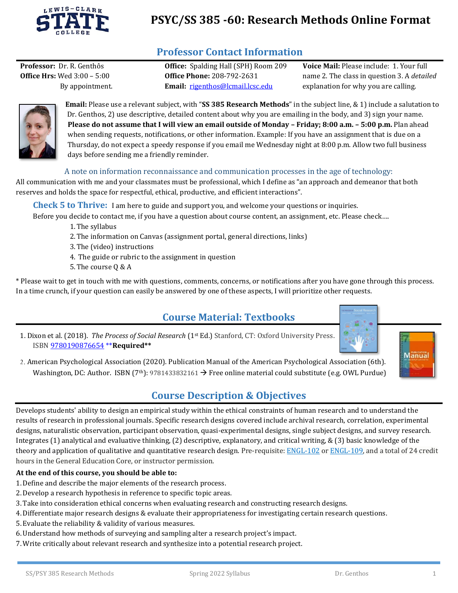

# **PSYC/SS 385 -60: Research Methods Online Format**

## **Professor Contact Information**

**Office Hrs:** Wed 3:00 – 5:00 **Office Phone:** 208-792-2631

By appointment. **Email:** [rigenthos@lcmail.lcsc.edu](mailto:rigenthos@lcmail.lcsc.edu)

**Professor:** Dr. R. Genthôs **Office:** Spalding Hall (SPH) Room 209 **Voice Mail:** Please include: 1. Your full name 2. The class in question 3. A *detailed* explanation for why you are calling.



**Email:** Please use a relevant subject, with "**SS 385 Research Methods**" in the subject line, & 1) include a salutation to Dr. Genthos, 2) use descriptive, detailed content about why you are emailing in the body, and 3) sign your name. **Please do not assume that I will view an email outside of Monday – Friday; 8:00 a.m. – 5:00 p.m.** Plan ahead when sending requests, notifications, or other information. Example: If you have an assignment that is due on a Thursday, do not expect a speedy response if you email me Wednesday night at 8:00 p.m. Allow two full business days before sending me a friendly reminder.

#### A note on information reconnaissance and communication processes in the age of technology:

All communication with me and your classmates must be professional, which I define as "an approach and demeanor that both reserves and holds the space for respectful, ethical, productive, and efficient interactions".

**Check 5 to Thrive:** I am here to guide and support you, and welcome your questions or inquiries.

Before you decide to contact me, if you have a question about course content, an assignment, etc. Please check….

- 1.The syllabus
- 2.The information on Canvas (assignment portal, general directions, links)
- 3.The (video) instructions
- 4. The guide or rubric to the assignment in question
- 5.The course Q & A

\* Please wait to get in touch with me with questions, comments, concerns, or notifications after you have gone through this process. In a time crunch, if your question can easily be answered by one of these aspects, I will prioritize other requests.

## **Course Material: Textbooks**

1. Dixon et al. (2018). *The Process of Social Research* (1st Ed.) Stanford, CT: Oxford University Press. ISB[N 9780190876654](https://global.oup.com/academic/product/the-process-of-social-research-9780190876654?cc=ca&lang=en&) \*\***Required\*\*** 



2. American Psychological Association (2020). Publication Manual of the American Psychological Association (6th). Washington, DC: Author. ISBN (7<sup>th</sup>): 9781433832161  $\rightarrow$  Free online material could substitute (e.g. OWL Purdue)

## **Course Description & Objectives**

Develops students' ability to design an empirical study within the ethical constraints of human research and to understand the results of research in professional journals. Specific research designs covered include archival research, correlation, experimental designs, naturalistic observation, participant observation, quasi-experimental designs, single subject designs, and survey research. Integrates (1) analytical and evaluative thinking, (2) descriptive, explanatory, and critical writing, & (3) basic knowledge of the theory and application of qualitative and quantitative research design. Pre-requisite: [ENGL-102](http://catalog.lcsc.edu/search/?P=ENGL-102) or [ENGL-109,](http://catalog.lcsc.edu/search/?P=ENGL-109) and a total of 24 credit hours in the General Education Core, or instructor permission.

#### **At the end of this course, you should be able to:**

- 1.Define and describe the major elements of the research process.
- 2.Develop a research hypothesis in reference to specific topic areas.
- 3.Take into consideration ethical concerns when evaluating research and constructing research designs.
- 4.Differentiate major research designs & evaluate their appropriateness for investigating certain research questions.
- 5. Evaluate the reliability & validity of various measures.
- 6.Understand how methods of surveying and sampling alter a research project's impact.
- 7.Write critically about relevant research and synthesize into a potential research project.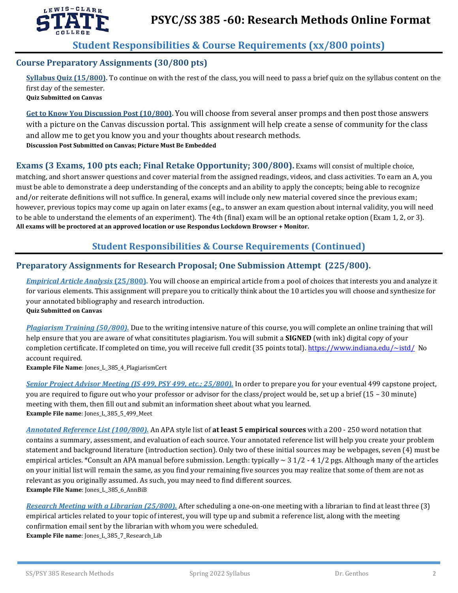

## **Student Responsibilities & Course Requirements (xx/800 points)**

#### **Course Preparatory Assignments (30/800 pts)**

**Syllabus Quiz (15/800).** To continue on with the rest of the class, you will need to pass a brief quiz on the syllabus content on the first day of the semester. **Quiz Submitted on Canvas**

**Get to Know You Discussion Post (10/800).** You will choose from several anser promps and then post those answers with a picture on the Canvas discussion portal. This assignment will help create a sense of community for the class and allow me to get you know you and your thoughts about research methods. **Discussion Post Submitted on Canvas; Picture Must Be Embedded**

#### **Exams (3 Exams, 100 pts each; Final Retake Opportunity; 300/800).** Exams will consist of multiple choice,

matching, and short answer questions and cover material from the assigned readings, videos, and class activities. To earn an A, you must be able to demonstrate a deep understanding of the concepts and an ability to apply the concepts; being able to recognize and/or reiterate definitions will not suffice. In general, exams will include only new material covered since the previous exam; however, previous topics may come up again on later exams (e.g., to answer an exam question about internal validity, you will need to be able to understand the elements of an experiment). The 4th (final) exam will be an optional retake option (Exam 1, 2, or 3). **All exams will be proctored at an approved location or use Respondus Lockdown Browser + Monitor.** 

### **Student Responsibilities & Course Requirements (Continued)**

#### **Preparatory Assignments for Research Proposal; One Submission Attempt (225/800).**

*Empirical Article Analysis* **(25/800).** You will choose an empirical article from a pool of choices that interests you and analyze it for various elements. This assignment will prepare you to critically think about the 10 articles you will choose and synthesize for your annotated bibliography and research introduction. **Quiz Submitted on Canvas**

*Plagiarism Training (50/800).* Due to the writing intensive nature of this course, you will complete an online training that will help ensure that you are aware of what consititutes plagiarism. You will submit a **SIGNED** (with ink) digital copy of your completion certificate. If completed on time, you will receive full credit (35 points total).<https://www.indiana.edu/~istd/>No account required.

**Example File Name**: Jones L 385 4 PlagiarismCert

*Senior Project Advisor Meeting (JS 499, PSY 499, etc.; 25/800).* In order to prepare you for your eventual 499 capstone project, you are required to figure out who your professor or advisor for the class/project would be, set up a brief (15 – 30 minute) meeting with them, then fill out and submit an information sheet about what you learned. **Example File name:** Jones L 385 5 499 Meet

*Annotated Reference List (100/800).* An APA style list of **at least 5 empirical sources** with a 200 - 250 word notation that contains a summary, assessment, and evaluation of each source. Your annotated reference list will help you create your problem statement and background literature (introduction section). Only two of these initial sources may be webpages, seven (4) must be empirical articles. \*Consult an APA manual before submission. Length: typically  $\sim$  3 1/2 - 4 1/2 pgs. Although many of the articles on your initial list will remain the same, as you find your remaining five sources you may realize that some of them are not as relevant as you originally assumed. As such, you may need to find different sources. **Example File Name**: Jones\_L\_385\_6\_AnnBiB

*Research Meeting with a Librarian (25/800).* After scheduling a one-on-one meeting with a librarian to find at least three (3) empirical articles related to your topic of interest, you will type up and submit a reference list, along with the meeting confirmation email sent by the librarian with whom you were scheduled. **Example File name**: Jones\_L\_385\_7\_Research\_Lib

SS/PSY 385 Research Methods Spring 2022 Syllabus Dr. Genthos 2008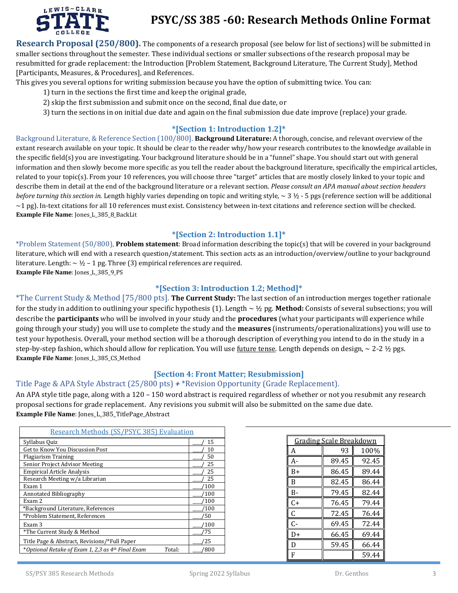

# **PSYC/SS 385 -60: Research Methods Online Format**

**Research Proposal (250/800).** The components of a research proposal (see below for list of sections) will be submitted in smaller sections throughout the semester. These individual sections or smaller subsections of the research proposal may be resubmitted for grade replacement: the Introduction [Problem Statement, Background Literature, The Current Study], Method [Participants, Measures, & Procedures], and References.

This gives you several options for writing submission because you have the option of submitting twice. You can:

- 1) turn in the sections the first time and keep the original grade,
- 2) skip the first submission and submit once on the second, final due date, or
- 3) turn the sections in on initial due date and again on the final submission due date improve (replace) your grade.

#### **\*[Section 1: Introduction 1.2]\***

Background Literature, & Reference Section (100/800]. **Background Literature:** A thorough, concise, and relevant overview of the extant research available on your topic. It should be clear to the reader why/how your research contributes to the knowledge available in the specific field(s) you are investigating. Your background literature should be in a "funnel" shape. You should start out with general information and then slowly become more specific as you tell the reader about the background literature, specifically the empirical articles, related to your topic(s). From your 10 references, you will choose three "target" articles that are mostly closely linked to your topic and describe them in detail at the end of the background literature or a relevant section. *Please consult an APA manual about section headers before turning this section in.* Length highly varies depending on topic and writing style, ~ 3 ½ - 5 pgs (reference section will be additional  $\sim$ 1 pg). In-text citations for all 10 references must exist. Consistency between in-text citations and reference section will be checked. **Example File Name**: Jones\_L\_385\_8\_BackLit

#### **\*[Section 2: Introduction 1.1]\***

\*Problem Statement (50/800), **Problem statement**: Broad information describing the topic(s) that will be covered in your background literature, which will end with a research question/statement. This section acts as an introduction/overview/outline to your background literature. Length:  $\sim$  1/2 – 1 pg. Three (3) empirical references are required. **Example File Name**: Jones\_L\_385\_9\_PS

#### **\*[Section 3: Introduction 1.2; Method]\***

\*The Current Study & Method [75/800 pts]. **The Current Study:** The last section of an introduction merges together rationale for the study in addition to outlining your specific hypothesis (1). Length ~ ½ pg. **Method:** Consists of several subsections; you will describe the **participants** who will be involved in your study and the **procedures** (what your participants will experience while going through your study) you will use to complete the study and the **measures** (instruments/operationalizations) you will use to test your hypothesis. Overall, your method section will be a thorough description of everything you intend to do in the study in a step-by-step fashion, which should allow for replication. You will use future tense. Length depends on design, ~ 2-2 1/2 pgs. **Example File Name**: Jones\_L\_385\_CS\_Method

#### **[Section 4: Front Matter; Resubmission]**

#### Title Page & APA Style Abstract (25/800 pts) *+* \*Revision Opportunity (Grade Replacement).

An APA style title page, along with a 120 – 150 word abstract is required regardless of whether or not you resubmit any research proposal sections for grade replacement. Any revisions you submit will also be submitted on the same due date. **Example File Name**: Jones\_L\_385\_TitlePage\_Abstract

| Research Methods (SS/PSYC 385) Evaluation                   |      |  |  |  |  |
|-------------------------------------------------------------|------|--|--|--|--|
| Syllabus Quiz                                               | 15   |  |  |  |  |
| Get to Know You Discussion Post                             | 10   |  |  |  |  |
| Plagiarism Training                                         | 50   |  |  |  |  |
| Senior Project Advisor Meeting                              | 25   |  |  |  |  |
| <b>Empirical Article Analysis</b>                           | 25   |  |  |  |  |
| Research Meeting w/a Librarian                              | 25   |  |  |  |  |
| Exam 1                                                      | 100  |  |  |  |  |
| Annotated Bibliography                                      | ′100 |  |  |  |  |
| Exam 2                                                      | ′100 |  |  |  |  |
| *Background Literature, References                          | ′100 |  |  |  |  |
| *Problem Statement, References                              | ′50  |  |  |  |  |
| Exam 3                                                      | /100 |  |  |  |  |
| *The Current Study & Method                                 | 75   |  |  |  |  |
| Title Page & Abstract, Revisions/*Full Paper                | 25   |  |  |  |  |
| *Optional Retake of Exam 1, 2,3 as 4th Final Exam<br>Total: | 800  |  |  |  |  |

| <u>Grading Scale Breakdown</u> |       |       |  |  |  |
|--------------------------------|-------|-------|--|--|--|
| А                              | 93    | 100%  |  |  |  |
| А-                             | 89.45 | 92.45 |  |  |  |
| B+                             | 86.45 | 89.44 |  |  |  |
| R                              | 82.45 | 86.44 |  |  |  |
| В-                             | 79.45 | 82.44 |  |  |  |
| C+                             | 76.45 | 79.44 |  |  |  |
| C                              | 72.45 | 76.44 |  |  |  |
| $C -$                          | 69.45 | 72.44 |  |  |  |
| D+                             | 66.45 | 69.44 |  |  |  |
| D                              | 59.45 | 66.44 |  |  |  |
| F                              |       | 59.44 |  |  |  |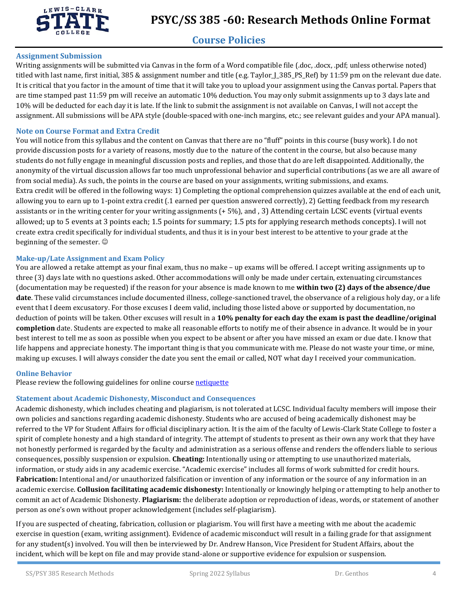

# **Course Policies**

#### **Assignment Submission**

Writing assignments will be submitted via Canvas in the form of a Word compatible file (.doc, .docx, .pdf; unless otherwise noted) titled with last name, first initial, 385 & assignment number and title (e.g. Taylor\_J\_385\_PS\_Ref) by 11:59 pm on the relevant due date. It is critical that you factor in the amount of time that it will take you to upload your assignment using the Canvas portal. Papers that are time stamped past 11:59 pm will receive an automatic 10% deduction. You may only submit assignments up to 3 days late and 10% will be deducted for each day it is late. If the link to submit the assignment is not available on Canvas, I will not accept the assignment. All submissions will be APA style (double-spaced with one-inch margins, etc.; see relevant guides and your APA manual).

#### **Note on Course Format and Extra Credit**

You will notice from this syllabus and the content on Canvas that there are no "fluff" points in this course (busy work). I do not provide discussion posts for a variety of reasons, mostly due to the nature of the content in the course, but also because many students do not fully engage in meaningful discussion posts and replies, and those that do are left disappointed. Additionally, the anonymity of the virtual discussion allows far too much unprofessional behavior and superficial contributions (as we are all aware of from social media). As such, the points in the course are based on your assignments, writing submissions, and exams. Extra credit will be offered in the following ways: 1) Completing the optional comprehension quizzes available at the end of each unit, allowing you to earn up to 1-point extra credit (.1 earned per question answered correctly), 2) Getting feedback from my research assistants or in the writing center for your writing assignments (+ 5%), and , 3) Attending certain LCSC events (virtual events allowed; up to 5 events at 3 points each; 1.5 points for summary; 1.5 pts for applying research methods concepts). I will not create extra credit specifically for individual students, and thus it is in your best interest to be attentive to your grade at the beginning of the semester.

#### **Make-up/Late Assignment and Exam Policy**

You are allowed a retake attempt as your final exam, thus no make – up exams will be offered. I accept writing assignments up to three (3) days late with no questions asked. Other accommodations will only be made under certain, extenuating circumstances (documentation may be requested) if the reason for your absence is made known to me **within two (2) days of the absence/due date**. These valid circumstances include documented illness, college-sanctioned travel, the observance of a religious holy day, or a life event that I deem excusatory. For those excuses I deem valid, including those listed above or supported by documentation, no deduction of points will be taken. Other excuses will result in a **10% penalty for each day the exam is past the deadline/original completion** date. Students are expected to make all reasonable efforts to notify me of their absence in advance. It would be in your best interest to tell me as soon as possible when you expect to be absent or after you have missed an exam or due date. I know that life happens and appreciate honesty. The important thing is that you communicate with me. Please do not waste your time, or mine, making up excuses. I will always consider the date you sent the email or called, NOT what day I received your communication.

#### **Online Behavior**

Please review the following guidelines for online cours[e netiquette](netiquette:%20http://teach.ufl.edu/wp-content/uploads/2012/08/NetiquetteGuideforOnlineCourses.pdf)

### **Statement about Academic Dishonesty, Misconduct and Consequences**

Academic dishonesty, which includes cheating and plagiarism, is not tolerated at LCSC. Individual faculty members will impose their own policies and sanctions regarding academic dishonesty. Students who are accused of being academically dishonest may be referred to the VP for Student Affairs for official disciplinary action. It is the aim of the faculty of Lewis-Clark State College to foster a spirit of complete honesty and a high standard of integrity. The attempt of students to present as their own any work that they have not honestly performed is regarded by the faculty and administration as a serious offense and renders the offenders liable to serious consequences, possibly suspension or expulsion. **Cheating:** Intentionally using or attempting to use unauthorized materials, information, or study aids in any academic exercise. "Academic exercise" includes all forms of work submitted for credit hours. **Fabrication:** Intentional and/or unauthorized falsification or invention of any information or the source of any information in an academic exercise. **Collusion facilitating academic dishonesty:** Intentionally or knowingly helping or attempting to help another to commit an act of Academic Dishonesty. **Plagiarism:** the deliberate adoption or reproduction of ideas, words, or statement of another person as one's own without proper acknowledgement (includes self-plagiarism).

If you are suspected of cheating, fabrication, collusion or plagiarism. You will first have a meeting with me about the academic exercise in question (exam, writing assignment). Evidence of academic misconduct will result in a failing grade for that assignment for any student(s) involved. You will then be interviewed by Dr. Andrew Hanson, Vice President for Student Affairs, about the incident, which will be kept on file and may provide stand-alone or supportive evidence for expulsion or suspension.